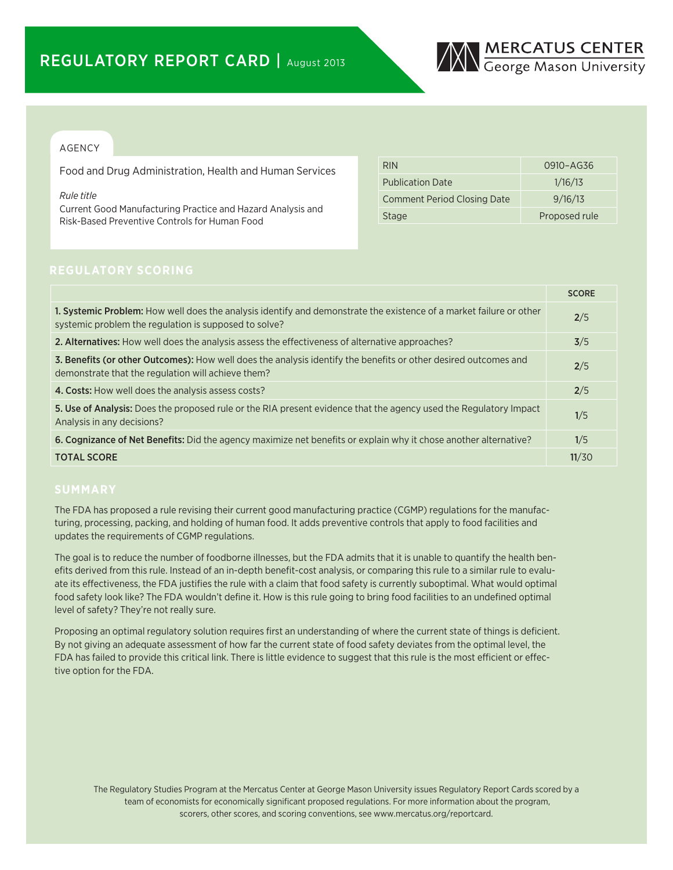

## AGENCY

Food and Drug Administration, Health and Human Services

*Rule title*

Current Good Manufacturing Practice and Hazard Analysis and Risk-Based Preventive Controls for Human Food

| <b>RIN</b>                         | 0910-AG36     |
|------------------------------------|---------------|
| <b>Publication Date</b>            | 1/16/13       |
| <b>Comment Period Closing Date</b> | 9/16/13       |
| <b>Stage</b>                       | Proposed rule |

|                                                                                                                                                                              | <b>SCORE</b> |
|------------------------------------------------------------------------------------------------------------------------------------------------------------------------------|--------------|
| 1. Systemic Problem: How well does the analysis identify and demonstrate the existence of a market failure or other<br>systemic problem the regulation is supposed to solve? | 2/5          |
| 2. Alternatives: How well does the analysis assess the effectiveness of alternative approaches?                                                                              | 3/5          |
| 3. Benefits (or other Outcomes): How well does the analysis identify the benefits or other desired outcomes and<br>demonstrate that the regulation will achieve them?        | 2/5          |
| 4. Costs: How well does the analysis assess costs?                                                                                                                           | 2/5          |
| 5. Use of Analysis: Does the proposed rule or the RIA present evidence that the agency used the Regulatory Impact<br>Analysis in any decisions?                              | 1/5          |
| 6. Cognizance of Net Benefits: Did the agency maximize net benefits or explain why it chose another alternative?                                                             | 1/5          |
| <b>TOTAL SCORE</b>                                                                                                                                                           | 11/30        |

The FDA has proposed a rule revising their current good manufacturing practice (CGMP) regulations for the manufacturing, processing, packing, and holding of human food. It adds preventive controls that apply to food facilities and updates the requirements of CGMP regulations.

The goal is to reduce the number of foodborne illnesses, but the FDA admits that it is unable to quantify the health benefits derived from this rule. Instead of an in-depth benefit-cost analysis, or comparing this rule to a similar rule to evaluate its effectiveness, the FDA justifies the rule with a claim that food safety is currently suboptimal. What would optimal food safety look like? The FDA wouldn't define it. How is this rule going to bring food facilities to an undefined optimal level of safety? They're not really sure.

Proposing an optimal regulatory solution requires first an understanding of where the current state of things is deficient. By not giving an adequate assessment of how far the current state of food safety deviates from the optimal level, the FDA has failed to provide this critical link. There is little evidence to suggest that this rule is the most efficient or effective option for the FDA.

The Regulatory Studies Program at the Mercatus Center at George Mason University issues Regulatory Report Cards scored by a team of economists for economically significant proposed regulations. For more information about the program, scorers, other scores, and scoring conventions, see www.mercatus.org/reportcard.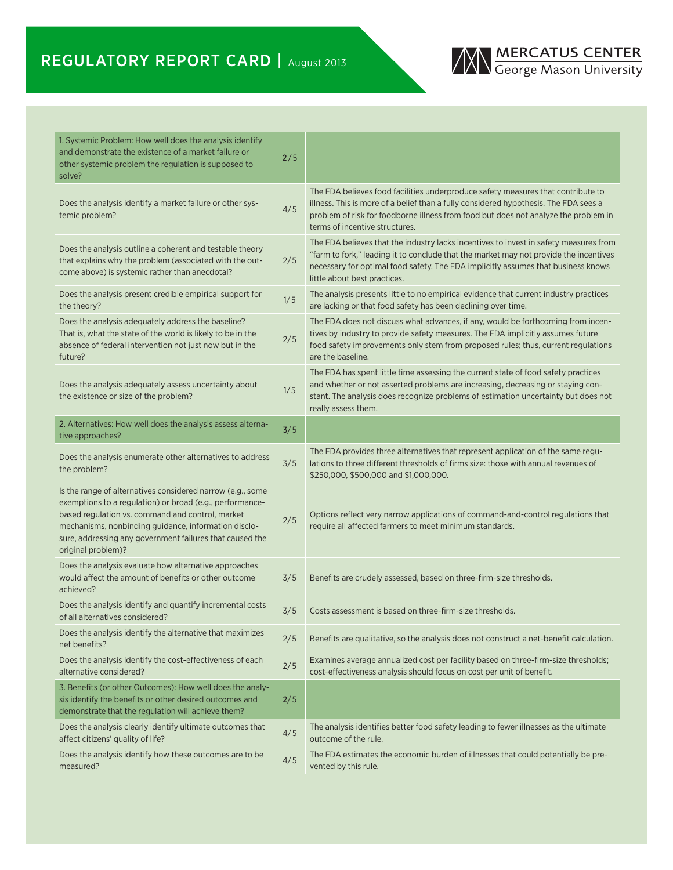

| 1. Systemic Problem: How well does the analysis identify<br>and demonstrate the existence of a market failure or<br>other systemic problem the regulation is supposed to<br>solve?                                                                                                                                   | 2/5   |                                                                                                                                                                                                                                                                                                     |
|----------------------------------------------------------------------------------------------------------------------------------------------------------------------------------------------------------------------------------------------------------------------------------------------------------------------|-------|-----------------------------------------------------------------------------------------------------------------------------------------------------------------------------------------------------------------------------------------------------------------------------------------------------|
| Does the analysis identify a market failure or other sys-<br>temic problem?                                                                                                                                                                                                                                          | 4/5   | The FDA believes food facilities underproduce safety measures that contribute to<br>illness. This is more of a belief than a fully considered hypothesis. The FDA sees a<br>problem of risk for foodborne illness from food but does not analyze the problem in<br>terms of incentive structures.   |
| Does the analysis outline a coherent and testable theory<br>that explains why the problem (associated with the out-<br>come above) is systemic rather than anecdotal?                                                                                                                                                | 2/5   | The FDA believes that the industry lacks incentives to invest in safety measures from<br>"farm to fork," leading it to conclude that the market may not provide the incentives<br>necessary for optimal food safety. The FDA implicitly assumes that business knows<br>little about best practices. |
| Does the analysis present credible empirical support for<br>the theory?                                                                                                                                                                                                                                              | 1/5   | The analysis presents little to no empirical evidence that current industry practices<br>are lacking or that food safety has been declining over time.                                                                                                                                              |
| Does the analysis adequately address the baseline?<br>That is, what the state of the world is likely to be in the<br>absence of federal intervention not just now but in the<br>future?                                                                                                                              | 2/5   | The FDA does not discuss what advances, if any, would be forthcoming from incen-<br>tives by industry to provide safety measures. The FDA implicitly assumes future<br>food safety improvements only stem from proposed rules; thus, current regulations<br>are the baseline.                       |
| Does the analysis adequately assess uncertainty about<br>the existence or size of the problem?                                                                                                                                                                                                                       | 1/5   | The FDA has spent little time assessing the current state of food safety practices<br>and whether or not asserted problems are increasing, decreasing or staying con-<br>stant. The analysis does recognize problems of estimation uncertainty but does not<br>really assess them.                  |
| 2. Alternatives: How well does the analysis assess alterna-<br>tive approaches?                                                                                                                                                                                                                                      | 3/5   |                                                                                                                                                                                                                                                                                                     |
| Does the analysis enumerate other alternatives to address<br>the problem?                                                                                                                                                                                                                                            | 3/5   | The FDA provides three alternatives that represent application of the same regu-<br>lations to three different thresholds of firms size: those with annual revenues of<br>\$250,000, \$500,000 and \$1,000,000.                                                                                     |
| Is the range of alternatives considered narrow (e.g., some<br>exemptions to a regulation) or broad (e.g., performance-<br>based regulation vs. command and control, market<br>mechanisms, nonbinding guidance, information disclo-<br>sure, addressing any government failures that caused the<br>original problem)? | $2/5$ | Options reflect very narrow applications of command-and-control regulations that<br>require all affected farmers to meet minimum standards.                                                                                                                                                         |
| Does the analysis evaluate how alternative approaches<br>would affect the amount of benefits or other outcome<br>achieved?                                                                                                                                                                                           | 3/5   | Benefits are crudely assessed, based on three-firm-size thresholds.                                                                                                                                                                                                                                 |
| Does the analysis identify and quantify incremental costs<br>of all alternatives considered?                                                                                                                                                                                                                         | 3/5   | Costs assessment is based on three-firm-size thresholds.                                                                                                                                                                                                                                            |
| Does the analysis identify the alternative that maximizes<br>net benefits?                                                                                                                                                                                                                                           | 2/5   | Benefits are qualitative, so the analysis does not construct a net-benefit calculation.                                                                                                                                                                                                             |
| Does the analysis identify the cost-effectiveness of each<br>alternative considered?                                                                                                                                                                                                                                 | $2/5$ | Examines average annualized cost per facility based on three-firm-size thresholds;<br>cost-effectiveness analysis should focus on cost per unit of benefit.                                                                                                                                         |
| 3. Benefits (or other Outcomes): How well does the analy-<br>sis identify the benefits or other desired outcomes and<br>demonstrate that the regulation will achieve them?                                                                                                                                           | 2/5   |                                                                                                                                                                                                                                                                                                     |
| Does the analysis clearly identify ultimate outcomes that<br>affect citizens' quality of life?                                                                                                                                                                                                                       | 4/5   | The analysis identifies better food safety leading to fewer illnesses as the ultimate<br>outcome of the rule.                                                                                                                                                                                       |
| Does the analysis identify how these outcomes are to be.<br>measured?                                                                                                                                                                                                                                                | 4/5   | The FDA estimates the economic burden of illnesses that could potentially be pre-<br>vented by this rule.                                                                                                                                                                                           |